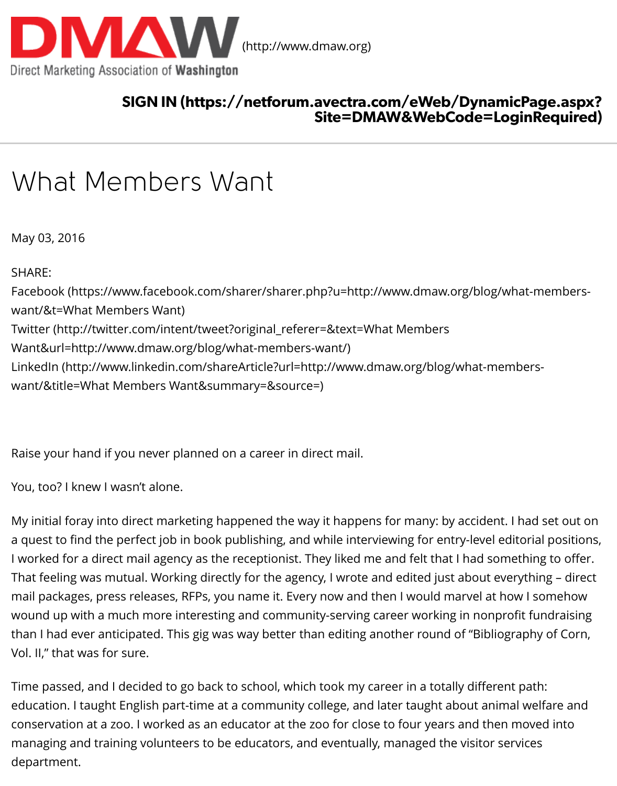### SIGN IN (https://netforum.avectra.com/eWeb/DynamicPage.aspx? Site=DMAW&WebCode=Logi

# [What Members Want](http://www.dmaw.org/)

May 03, 2016

SHARE: Facebook (https://www.facebook.com/sharer/sharer.php?u=http://www.dmaw.org/blog/wha want/&t=What Members Want) Twitter (http://twitter.com/intent/tweet?original\_referer=&text=What Members Want&url=http://www.dmaw.org/blog/what-members-want/) LinkedIn (http://www.linkedin.com/shareArticle?url=http://www.dmaw.org/blog/what-memb [want/&title=What Members Want&summary=&source=\)](https://www.facebook.com/sharer/sharer.php?u=http://www.dmaw.org/blog/what-members-want/&t=What%20Members%20Want)

[Raise your hand if you never planned on a career in direct mail.](http://twitter.com/intent/tweet?original_referer=&text=What%20Members%20Want&url=http://www.dmaw.org/blog/what-members-want/)

[You, too? I knew I wasn't alone.](http://www.linkedin.com/shareArticle?url=http://www.dmaw.org/blog/what-members-want/&title=What%20Members%20Want&summary=&source=)

My initial foray into direct marketing happened the way it happens for many: by accident. I h a quest to find the perfect job in book publishing, and while interviewing for entry-level editorial I worked for a direct mail agency as the receptionist. They liked me and felt that I had sometl That feeling was mutual. Working directly for the agency, I wrote and edited just about every mail packages, press releases, RFPs, you name it. Every now and then I would marvel at how wound up with a much more interesting and community-serving career working in nonprofit than I had ever anticipated. This gig was way better than editing another round of "Bibliogra Vol. II," that was for sure.

Time passed, and I decided to go back to school, which took my career in a totally different path: education. I taught English part-time at a community college, and later taught about animal v conservation at a zoo. I worked as an educator at the zoo for close to four years and then mo managing and training volunteers to be educators, and eventually, managed the visitor servi department.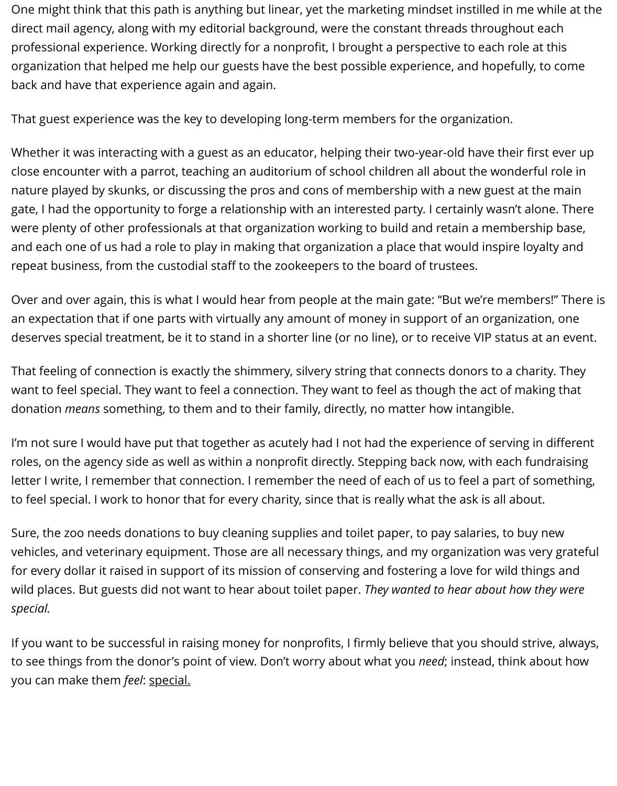One might think that this path is anything but linear, yet the marketing mindset instilled in me while at the direct mail agency, along with my editorial background, were the constant threads throughout each professional experience. Working directly for a nonprofit, I brought a perspective to each role at this organization that helped me help our guests have the best possible experience, and hopefully, to come back and have that experience again and again.

That guest experience was the key to developing long-term members for the organization.

Whether it was interacting with a guest as an educator, helping their two-year-old have their first ever up close encounter with a parrot, teaching an auditorium of school children all about the wonderful role in nature played by skunks, or discussing the pros and cons of membership with a new guest at the main gate, I had the opportunity to forge a relationship with an interested party. I certainly wasn't alone. There were plenty of other professionals at that organization working to build and retain a membership base, and each one of us had a role to play in making that organization a place that would inspire loyalty and repeat business, from the custodial staff to the zookeepers to the board of trustees.

Over and over again, this is what I would hear from people at the main gate: "But we're members!" There is an expectation that if one parts with virtually any amount of money in support of an organization, one deserves special treatment, be it to stand in a shorter line (or no line), or to receive VIP status at an event.

That feeling of connection is exactly the shimmery, silvery string that connects donors to a charity. They want to feel special. They want to feel a connection. They want to feel as though the act of making that donation *means* something, to them and to their family, directly, no matter how intangible.

I'm not sure I would have put that together as acutely had I not had the experience of serving in different roles, on the agency side as well as within a nonprofit directly. Stepping back now, with each fundraising letter I write, I remember that connection. I remember the need of each of us to feel a part of something, to feel special. I work to honor that for every charity, since that is really what the ask is all about.

Sure, the zoo needs donations to buy cleaning supplies and toilet paper, to pay salaries, to buy new vehicles, and veterinary equipment. Those are all necessary things, and my organization was very grateful for every dollar it raised in support of its mission of conserving and fostering a love for wild things and wild places. But guests did not want to hear about toilet paper. *They wanted to hear about how they were special.*

If you want to be successful in raising money for nonprofits, I firmly believe that you should strive, always, to see things from the donor's point of view. Don't worry about what you *need*; instead, think about how you can make them *feel*: special.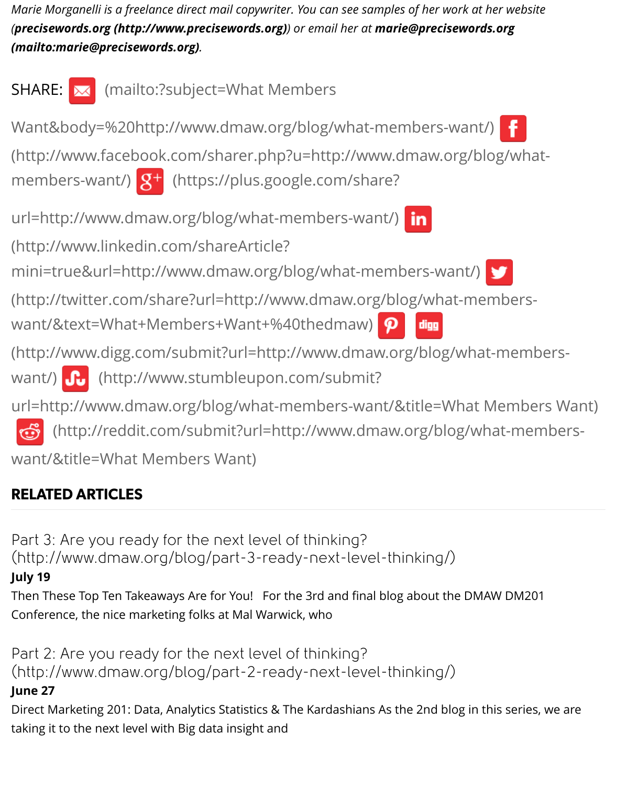

## [RELATED ARTICLES](http://www.stumbleupon.com/submit?url=http://www.dmaw.org/blog/what-members-want/&title=What%20Members%20Want)

Part 3: Are you ready for the next level of thinking? [\(http://www.dmaw.org/blog/part-3-ready-next-level-thinking/\)](http://reddit.com/submit?url=http://www.dmaw.org/blog/what-members-want/&title=What%20Members%20Want) **July 19**

Then These Top Ten Takeaways Are for You! For the 3rd and final blog about the DMAW DM Conference, the nice marketing folks at Mal Warwick, who

[Part 2: Are you ready for the next level of thinking?](http://www.dmaw.org/blog/part-3-ready-next-level-thinking/) (http://www.dmaw.org/blog/part-2-ready-next-level-thinking/)

## **June 27**

Direct Marketing 201: Data, Analytics Statistics & The Kardashians As the 2nd blog in this seri taking it to the next level with Big data insight and